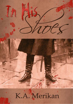# K.A. Merikan

 $\overline{U}$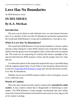# **Love Has No Boundaries**

*An M/M Romance series*

# **IN HIS SHOES By K.A. Merikan**

## **Introduction**

The story you are about to read celebrates love, sex and romance between men. It is a product of the *Love Has No Boundaries* promotion sponsored by the *Goodreads M/M Romance Group* and is published as a free gift to you.

## **What Is Love Has No Boundaries?**

The *Goodreads M/M Romance Group* invited members to choose a photo and pen a letter asking for a short M/M romance story inspired by the image; authors from the group were encouraged to select a letter and write an original tale. The result was an outpouring of creativity that shone a spotlight on the special bond between M/M romance writers and the people who love what they do.

A written description of the image that inspired this story is provided along with the original request letter. If you'd like to view the photo, please feel free to join the [Goodreads M/M Romance Group](http://www.goodreads.com/group/show/20149-m-m-romance) and visit the discussion section: *Love Has No Boundaries*.

Whether you are an avid M/M romance reader or new to the genre, you are in for a delicious treat.

### **Words of Caution**

This story may contain sexually explicit content and is **intended for adult readers.** It may contain content that is disagreeable or distressing to some readers. The *M/M Romance Group* strongly recommends that each reader review the General Information section before each story for story tags as well as for content warnings.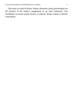This story is a work of fiction. Names, characters, places and incidents are the products of the author's imagination or are used fictitiously. Any resemblance to actual events, locales, or persons, living or dead, is entirely coincidental.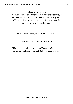All rights reserved worldwide.

This eBook may be distributed freely in its entirety courtesy of the *Goodreads M/M Romance Group*. This eBook may not be sold, manipulated or reproduced in any format without the express written permission of the author.

In His Shoes, Copyright © 2013 K.A. Merikan

Cover Art by Book Cover Masterclass

This ebook is published by the *M/M Romance Group* and is not directly endorsed by or affiliated with Goodreads Inc.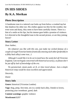# **IN HIS SHOES By K.A. Merikan**

# **Photo Description**

A handsome man in a tattered coat looks up from below a crooked top hat that shadows his other eye. His clothes appear too thin for the weather, but even worn and dusty, they seem to have been carefully chosen. There is a hint of a smile on his lips, but his intense gaze holds a promise of violence. Is it directed at the thoughtful man in the second picture, or are they joining forces?

# **Story Letter**

#### *Dear Author,*

*Do whatever you like with this one, just make my wicked fantasy of a couple of rough Victorian hotties frantically smexing each other (preferably in a filthy back alley) come true, :)*

*Although I would like it to be set in (and have the seedy feel of) Victorian England, I am not hugely concerned with historical accuracy, so please don't be put off by lack of knowledge of the era.*

*No paranormal, steam punk, sci fi, or time travel please. Just a simple historical romp would be most excellent and appreciated.*

*Sincerely,*

*Danni*

#### **Story Info**

**Genre:** historical (Victorian London)

**Tags:** thug, pimp, first time, sex in a seedy back alley, friends to lovers, protecting your sweetheart, greed, dark

**Content warnings:** graphic violence

**Wordcount:**9,837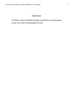#### *Dedication*

To Danni, whose brilliant prompt convinced us to participate in the Love Has No Boundaries Event.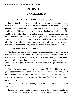# **IN HIS SHOES By K.A. Merikan**

"Ya go pickle yer cock s'm'ere else tonight. I got plans!"

Frank blinked, looking up at Molly, who was too busy sewing to even spare him a glance. As if to prove her point, she crossed her exposed legs and tapped her foot on the raw wooden floor. He exhaled the smoke from his pipe, stroking one of his thick sideburns, and frowned at her barely-clad body. He could see the milky skin of her naked thighs above the stockings, and she didn't even bother to put on a dressing gown over her corset when he and Jasper came over. Not that it was unusual for Frank to see her like this, and the dim glow of the single oil lamp reminded him of all those nights he spent between her thighs in this tiny room. Molly was a favourite and she knew it.

"Yer the one walkin' around nekkid."

"I got more clothes on than 'e does." She shrugged and some of her dark curls obscured her eyes. Frank's gaze darted to Jasper. Sprawled shirtless in a shabby armchair by the bed, he was playing around with his gun. Frank knew the thing didn't work, but he had to admit it was good enough as a threat. Jasper was waiting to get his shirt back from Molly, yet kept his tattered top hat on.

"Well, I'm not the one selling what's on show." He flashed Frank a cocky grin. Jasper had the most elegant accent out of all the people Frank knew. And because they've known each other since he could remember, he knew Jasper wasn't raised around people who spoke that way, though it seemed to have grown on him.

"So examine the goods and shut it," spat Molly, squinting over the shirt she was mending.

Frank inhaled some smoke and glanced over to Jasper's spread out form. There were still dark stains of bruising on his ribs from a fight they got into a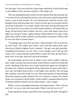few days ago. Every now and then, when Jasper undressed, Frank felt the urge to ask whether it hurt, but that would be a silly thing to do.

This new pimping business turned out more painful than they assumed, but it was also far less straining than factory work and Jasper certainly enjoyed the money it put in their pockets. He was buying those colourful cravats, even though he only had one proper shirt. And two weeks ago, he even got a pocket watch that looked like it was made of gold. Since then, he kept showing it off far too much for his own good, but when Frank told him so, all Jasper did was shrug. He had always been reckless, but now, every time Jasper went out at night, the wait gave Frank a giddy feeling. People killed for less than a fake gold watch, and he couldn't afford to lose his partner in business. Whom could he ever trust like he trusted Jasper?

"I'm going to get a new shirt real soon," Jasper boasted. "We're on the way up with Frank." He looked into Frank's eyes with that intense blue stare, which never failed to tighten Frank's stomach. "Just got a new girl yesterday. Expanding the business, you see. Don't worry though, you're still our best earner, love." Jasper leaned towards Molly to stroke her knee, giving Frank a good view of his pale, lean back and wide shoulders.

He could almost see the crack of Jasper's arse, and he couldn't help but stare. Jasper was lean, but not too small, nearly hairless except for his head and crotch. Speaking of the devil, once Jasper leaned back again, the soft light of the lamp cast a shadow stressing the sharp ridge above his groin and Frank's eyes were inevitably drawn lower, to the bulge in his trousers. He was hung like a donkey, and while Frank was not a little man himself, he kept thinking about that impressive girth whenever he was to breach a woman. No wonder Jasper was so popular with the ladies. Frank couldn't complain about the lack of female attention himself, but he lacked Jasper's silver tongue.

Molly's voice cut through the haziness clouding his brain. "That's all very well, but 'ow can ya look after more girls if there's just the two of ya?"

Frank opened his mouth, surprised by her reasoning. He hadn't thought of that.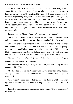Jasper was quicker to answer though. "Don't you worry that pretty head of yours. We're in business now and we already have a few men wanting to become new associates." He scratched his fuzzy, dark blond beard, probably trying to feign looking thoughtful. They didn't have any guys wanting to join, and Frank wasn't even sure he wanted anyone else handling their money. But instead of questioning Jasper, he couldn't help but stare at him. He knew one of the reasons Jasper grew all that facial hair was that his face looked like a boy's, with large blue eyes and full lips that stretched into the broadest, most carefree smile.

Frank nodded at Molly "Yeah, we're thinkin' 'bout ya girls."

She gave him a doubtful look and shook her head. "Betta' make those fresh dollymopswear somethin' pretty, so's they get another Mister Stevens."

Jasper straightened up in the armchair. His pale eyebrows drew closer with clear interest. "Stevens? Is that the one with those fancy shoes? He's so young, too. I'm sure he could charm some girls and get muff for free." He laughed as Molly passed him his shirt. She snorted and walked over to the bed, where she laid out her best dress. It was red and far too frilly for Frank's taste.

"I'm not tellin' 'im to find a different muff. Pays betta' than others. Worth endurin' even if he is a pig sometimes."

Frank cleared his throat, looking over to Jasper, who was hiding his body under the shirt. "Pig?"

"Yeah, what does he do?" Jasper was always eager for filthy details. Strange how he had the nicest accent and the dirtiest mouth. "You charge him extra, Molly."

"Oh, ya don't wanna know what 'e likes to do. Trust me." She rolled her eyes and stepped into the skirt before reaching for the bodice. "Bet 'is wife's a nun."

Frank frowned, tracing his sideburns with his fingers. "But he's not makin' ya work less?"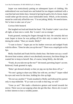Jasper was meticulously putting on subsequent layers of clothing. His embroidered vest was brand new and looked far too elegant combined with a coat that had seen better days. Instead of giving his garb a bit of a boost, Jasper would rather get the newest, most fashionable items. Which, at the moment, meant he could only afford the vest. "I'm not joking, Molly. We need to know. We're here to take care of you."

#### *Curious little bastard.*

She laughed out loud and shook her head. "Oh, Frankie's takin' care of me all right, at least once a week. But 'is taste's not as strange."

Frank groaned, running his fingers through his hair. He certainly did not want Jasper to know he was pulling off his shirt only to make her wear it during the ordeal. "Shut yer mouth, Molly!"

"I want to know." Jasper put on his leather overcoat and nudged Frank with his elbow. "Does he take you up the rear?" There was a stupid grin on his lips.

Molly chuckled and Frank felt his cheeks heat. She better not say a word! He never beat women, unless it was absolutely necessary, but those things, he wanted her to keep to herself. But, of course, being Molly, she did talk.

"Frank, *do you* take me up the rear?" she teased, parroting Jasper's accent. Relieved, Frank grunted in reply.

"Betta' get dressed already so that yer pig can rip that dress off ya."

"No one's going to share any filthy fun with me, are they?" Jasper rolled his eyes and went for the door, holding his chin up high.

"Do *not* say anythin'!" Frank mouthed to Molly and followed his partner only to stop midstride. "If ya want us to talk to that hog, we will."

"Gone ya are!" She made a dismissive gesture and turned towards her mirror. There was no use arguing when she got like that. Above all, it wasn't in their interest to lose a wealthy punter.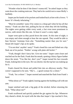"Wonder what he does if she doesn't wanna tell," he asked Jasper as they went down the creaking staircase. They had to be careful not to rouse Molly's landlady.

Jasper put his hands in his pockets and looked back at him with a frown. "I know! It's bloody infuriating."

"Must be somethin' nasty if he comes to a cheap girl when he has all that money." Frank ran after him, pulling his hat on when they left the building. The nights were getting colder every week, a fact even more prominent in narrow, unlit streets like this one. At least it wasn't a rainy night.

Jasper went quiet as they paced down the street. At this time of night, it was empty and silent enough to hear the rats squeak. They would be able to hear Stevens' footsteps from afar. "Something nastier than you for sure." Steam left Jasper's lips as he spoke.

"I'm not doin' anythin' nasty!" Frank closed his coat and fished out a hip flask out of its pocket. "Nothin' wrong with plain old fuckin'."

"Yeah, though I don't fancy her. Give me some." Jasper came closer and reached out for the flask. Frank shut his mouth, spotting a blurry figure further down the street. "You like her, don't you?" Jasper turned his face towards Frank, looking him in the eyes. He was shorter, but the top hat was making up for it.

Frank cleared his throat and pulled him into an alleyway nearby. They weren't supposed to be seen. "She's… a good woman for a whore."

"Yeah, 'for a whore'." Jasper snorted and snatched the flask from Frank's hand.

"What about ya?" Frank sighed, leaning against the building wall with one arm.

Jasper smirked and took a big gulp of the alcohol, before returning the flask. "What about me?"

Frank swallowed and quickly pushed the gin against his lips. Whenever they shared a drink, he toyed with the idea that Jasper's lips touched it first,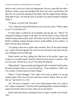and he wasn't even sure if that was appropriate. He was a man like any other. Without a doubt, many had thoughts like those, but never voiced them, just like him. He traced the opening of the flask with his tongue before taking a large gulp of gin. Too bad the taste of alcohol was sharp enough to disguise Jasper's.

"Ya know, ya never talk 'bout girls."

"Oy!" Jasper frowned and folded his arms across his chest. "What's there to say? I'm not there yet."

If Frank hadn't swallowed, he'd probably spit the gin out. "What?" he whispered, looking at Jasper in the dark. He moved closer so they could talk without being unnecessarily loud. The lonely man he'd seen earlier entered Molly's building without having to throw small pebbles at her window, as they'd left the door unlocked.

"I'm going to have me a proper lady someday. But I'm not good enough yet." Jasper slouched against the wall, his eyes focused on the spot Stevens was standing in just seconds ago.

Frank leaned over him, hiding the flask back in his pocket. Jasper was wrong, he was plenty good. What he lacked was the means to impress. "But yer nor savin' yerself now, are ya?" he asked, bewildered.

"Muttonhead." Jasper snorted and slapped Frank's forehead with his palm. He kept moving in place to warm himself up. "I have ambition. I didn't say I'm a monk. I'm just meant for better things."

"Betta'?" Frank shrugged. "Isn't what we do now as good as it can get without gettin' that cravat of yours tied into a noose? Dunno 'bout ya, but I like my 'ead where it is, I do."

"No. We have to expand. I can't even afford proper shoes yet. Look at me," Jasper complained. "I bet that toff is spending daddy's money on Molly's snatch and doesn't have to worry. Did you *see* his boots?"

Frank cleared his throat, sensing the heat of Jasper's breath on his cheek. "No."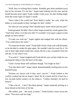"Well, they're fucking black leather. Probably gets them polished every day by his servants. It's not fair." Jasper kept looking into his eyes and his breath became more rapid. Frank couldn't look away, his skin feeling tingly from the warm vapor of Jasper's words.

"Since when's the world fair? Poor Molly's tradin' her cunt, while the ladies ya want parade in their carriages for doin' nothin'."

"So what are you saying? That I should marry some whore and stay put?"

Frank groaned. He didn't like it when Jasper turned his words against him. "And what when y'ave that new life? Ya wouldn't even spare a glance at the people ya knew before."

"I'd take you with me." Jasper sighed and nudged him with his elbow. "You could marry her sister."

"Ya mean her fuckin' maid." Frank didn't know what to do with his hands, so he decided to smoke his pipe again. He wouldn't take his word for it. No one in their right mind would risk a better life for a few scoundrels from the old one. It was what it was.

"You said it." Jasper laughed and Frank felt his eyes on him while he was packing the tobacco into the bowl of his pipe.

"I don't favour those stiff uniforms though. Too rough on skin."

"You like them soft?" Jasper asked, absentmindedly looking down to his battered boots.

"Women are always soft if they aren't starvin'." Frank looked at the cockily crooked top hat on Jasper's head. He lit a match and let it burn for a few seconds before using it on the tobacco. "Clothes shouldn't be hard to breach."

"I like a bit of… I don't like them plump," Jasper muttered, picking at a loose thread on the brim of his hat.

"Me neither, just… the usual, ya know." Frank kicked a stone across the street. "Pert arses and nice legs."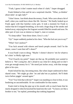"Yeah, I guess it don't matter much when it's dark." Jasper shrugged.

Frank blinked at him and let out a surprised chuckle. "What, ya thinkin' about takin' an ugly lady?"

"I don't know. Just think about the money, Frank. Who cares about a bit of muff, when you could have shoes like Mr. Stevens." He finally looked up at Frank again with that familiar cocky grin. It took a moment for Frank to realize that he'd stopped breathing, so he took a huge drag of the smoke and looked away, enjoying how the fragrant warmth filled his mouth and nose. No other pair of eyes was as intense as Jasper's, man or woman.

"Ya keep talkin' 'bout those shoes. Envy's a sin."

"Oy!" Jasper suddenly pushed at his chest. "Who the fuck are you to say?"

"What? Am I jealous?"

"You fuck around with whores and knock people around. And I'm the sinner, cause I want that toff's shoes?"

It was Frank's turn to shrug. "Maybe 'e doesn't deserve 'em for whateva he's doin' to Molly right now."

"Yes! Exactly my point!" Jasper ate that up. He probably just wanted to believe it. "He's using her, she's afraid to say what he's doing and we don't even get enough money for it." He stood just inches away, with that strange glint in his eyes.

Frank licked his lips, becoming tense, like when Jasper undressed in their shared room. "We might go after 'im and take'em as payback. He'll think twice before piggin' around again."

"Yes? You'd do that with me?" Jasper was standing so close to him, it was bordering on uncomfortable. Or *too* comfortable for that matter.

Frank tried to bring the pipe up to his mouth with so much haste that he nearly dropped it when he knocked his hand into the wall. "Ya know yer like a brother to me," he replied, pretending that nothing happened.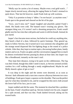"Molly says he carries a lot of money. Maybe even a real gold watch…" Jasper slowly moved away, allowing the raging flutter in Frank's stomach to quiet down. That last bit however, made Frank look up with wariness.

"Only if ya promise to keep it 'idden. I'm not buryin' ya anytime soon." Frank spat to the ground and chewed on the bit of his pipe.

"Aww, you'd miss me?" Jasper laughed and playfully patted Frank's cheek. His hands were cold. The bastard wasn't wearing any gloves. The strangest thing was, if it weren't such a dooming perspective, Frank would gladly turn his face into that cold palm and warm it with his breath. Instead, he just stared.

Jasper's face became more serious, but before he could say anything else, they heard a thud of a door, followed by quick footsteps. They geared up, ready to follow Stevens, but it turned out it was someone else altogether and the strange mood dispersed like fist-fighting thugs at the sound of a police whistle. After that, they kept to routine topics, discussing further plans, family matters and so on. Frank was glad, and the conversation engaged him so much he almost overlooked Stevens passing by about an hour later, but Jasper was like a bloodhound, instantly on the man's trail.

They kept their distance, trying to be quiet on the cobblestones. The fog was their friend, though they didn't need it much, as Stevens seemed awfully careless for a toff walking through a seedy neighbourhood. Maybe he and Molly shared a glass of gin or two?

It was deep in the night and the streets were deserted, so as soon as Stevens' dark silhouette took a turn into a narrow alleyway between two rows of buildings, Frank gave Jasper a squeeze on the shoulder. That was the perfect spot for what they intended to do, and he wrapped his thin neck cloth around the lower half of his face, just in case.

Jasper nodded and did the same. The moment he slouched like a predator on the hunt, Frank's heartbeat sped up. Stevens looked over his arm, stopped for a split second, and that was that. Frank dashed forward, taking out his trusted knife.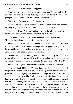"Well, well, look what the cat dragged in!"

Jasper followed with his beloved pistol in hand, and Stevens took a quick step back, raising his arms so that they could see his hands. He was much younger than it seemed from afar. Rather handsome too.

"Wait, wait! Gentlemen, I don't want any trouble―"

"Neither do we." Frank stopped in front of their catch and nodded, deciding to go for Jasper's favoured loot. "Take off yer shoes."

"But… gentleme―" Stevens looked to where the alleyway met a wider street. Frank could almost hear the cogs turning in his head.

"Don't even think about it!" Jasper quickly stepped forward, circling him. "Empty your pockets and take off the fucking shoes!"

Frank nodded. "Come on, don't be daft and listen to my friend 'ere." He folded his arms across his chest, making sure his dagger was in plain sight. Based on his experience, a display of power was more than enough to disarm someone who had loads of money back at home.

Stevens took his time looking between them. Eventually, he bent down towards his shoes, but then made a swift move and pulled out a sabre from under his oversized coat, instantly taking a defensive stance. "Back off!"

Frank froze, surprised by the man's boldness. He *was* outnumbered.

"Are you bloody kidding me?" Jasper burst out with laughter and pointed his pistol at Stevens. With such skills in bluffing, he should have become a gambler, rather than a pimp. But Stevens saw through the sham. Within a split second, he ducked to avoid a deadly blow from the pistol and drew his arm back to give his sabre enough speed. Frank's head went blank and it seemed that his hands and legs became heavy with blood rushing through his veins. It was the sight of red flourishing on Jasper's hand in the pale moonlight and his scream that triggered Frank into action. He thrust his dagger straight into Stevens' chest, meeting hardly any resistance. The man stiffened and Frank lunged at him, ripping the knife out only to stab it into his abdomen. Time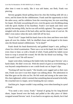after time it went in easily, like it was soft butter, not flesh, Frank was piercing.

Stevens gurgled, blood spilling down his chin like boiling milk left on a stove, and his knees hit the cobblestones. Frank used the opportunity to kick the sabre away, and he withdrew from the cowering man, his eyes searching for Jasper. His body was pulsing all over, even his gums were throbbing along with the quick rhythm of his heartbeat. Frank's wet hands and chest were quickly becoming chilly, but he was still awfully agitated. The coppery smell mingled with the aroma of the back-alley and the sharp scent of cool air. He didn't even notice when the neck cloth fell off his face.

"Fuck! Fuck!" Jasper held his hand close to his chest and there were dark spots all over his clothes. Still, he shuffled closer and dropped to his knees onto the blood-stained cobblestones. "Is he dead?"

Frank shook his head dismissively and grabbed Jasper's arm, pulling it closer for a brief examination. There was a cut on his hand, but it didn't look even close to fatal, so with a breath of relief, Frank pulled his faded cravat loose to wrap it around the wound. He felt like his blood was boiling. "The fuck would I care? He still moves."

Jasper went silent, looking at the faded cloth, but then gave Stevens' arm a harsh shake. He didn't even stir. With the stench of gore so overwhelming, it was beyond comprehension to see a smile break out on Jasper's lips.

"Fucking toff met his match." His breaths were ragged and as their eyes met, Frank was sure it was him Jasper was talking about. The admiration in that blue gaze set his skin on fire. He felt weak and strong at the same time. His chest tightened, while it seemed that something danced around in his belly. He crouched next to Jasper, never breaking the eye contact.

And that *grin*. Jasper wouldn't stop smiling, even when kneeling in a pool of blood.

"You need a new cravat, Frank." Instead of going for his long-desired shoes, Jasper bowed over the body and pulled at the silky piece of fabric wrapped around Stevens' neck. It was hard to recognize any details, but it had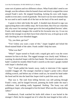some sort of pattern and two different colours. What Frank didn't need to see though, was the softness when he leaned closer and slowly wrapped the cravat around Frank's neck. He stopped breathing, locking his eyes with Jasper, unable to even utter a word of gratitude. The touch was far more intimate than he was used to and it made all of the hair on the back of his neck stand up.

A grunt to their side broke the spell. A hooded man dressed in rags was approaching them with wobbly steps. He'd seen them. But if he saw what they did, why wasn't he running? Jasper got to his feet and grabbed Stevens' sabre. Frank could already imagine this would be his favourite new toy. It was too dark for the stranger to see their faces from where he was, so he got up as well, still clutching his now-bloodied dagger.

"Oy, you there, get lost!"

"Yes! Unless you want a taste of this." Jasper laughed and licked the blood-stained blade of the sabre. Frank couldn't help but stare.

"What was that?"

"What?" Jasper turned to Frank with a stupid grin and it was the worst moment for him to do that. The ragged stranger was clearly mad. Without a warning, he attacked Jasper with his bare hands. The stench of someone who hadn't washed for months filled Frank's nostrils as the man's gurgle clashed with Jasper's shocked yelp.

"Oy!" Frank pulled the lunatic away, ready to intervene if the vagrant wouldn't bugger off. The stranger clutched at Jasper's jacket with a blood chilling screech, and before any of them could act, he turned his head under the hood and bit into the hand that Jasper tried to push him away with.

That was it. The rush from killing Stevens was still pulsing through Frank's veins, and he lunged forward, jamming his knife under the man's collarbone. And nothing really happened. *Nothing*. The loony was still grabbing at Jasper, who managed to free his hand. *What was this, some fucking rabies?*

Dumbstruck, Frank watched his knife shift where it was buried in the stranger's flesh, but he snapped out of it when the man lunged at him with a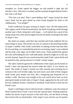strangled cry. Frank ripped the dagger out and pushed it right into the attacker's face. This time, it worked, and the assailant dropped dead at Frank's feet with a soft thud.

"The fuck was that? That's some Bedlam shit!" Jasper kicked the dead man's head, but his gaze darted up when Frank dropped his knife to the cobblestones. "You alright?"

Frank swallowed, his gaze zeroing on Jasper's face. He felt empowered. The coppery smell of blood around them, the thrill of pushing a knife through another man's flesh, being here with Jasper… it all melted into a pool of hot energy deep in his chest and he edged forward, his hands reaching for the sides of Jasper's face.

His mind was empty, until their lips touched and Frank suddenly felt too many things to name. The mouth was soft, in contrast to the prickling needles of Jasper's stubble. Still, Frank could think of nothing sweeter than that little bit of scratching, as it reminded himwho he was kissing. Jasper's eyes widened and his body went rigid, yet he didn't back away. Frank pushed him against the wall, still holding his face with both hands, afraid he might try to flee any second. Instead, Jasper let out a nasal moan that made Frank's groin throb and he parted his lips, giving entrance to Frank's needy tongue.

The sabre clattered against the cobblestones when Jasper put his hands on Frank's chest and squeezed the muscle under the fabric. It was almost too much. The inside of Jasper's mouth was silky smooth and scorching hot in contrast to the cool October night, but each touch, each slide of their tongues made Frank press deeper into him, like a hungering pup desperate for its mother's milk. The heat went straight to his cock and he drew back an inch, placing his hands on both sides of Jasper's head, caging him by the wall with the kiss suddenly broken. Forehead to forehead, Frank dared to look into his friend's eyes.

Jasper's cold fingers slowly slid into Frank's sideburns, and a few drops of blood trickled down Frank's neck from the injured hand. Nothing mattered, neither the stench of gore and piss in this back alley, nor the threat of being discovered with two dead bodies. Only Jasper's eyes and the way he panted.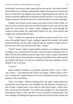Frank didn't even notice when Jasper had lost his top hat. Now that he hadn't been pushed away, nothing could possibly frighten him anymore, so he bowed down to brush their lips together once more, forgetting about the cold air. He already loved the stubble that scratched his mouth and chin. It was such a new, unique sensation. One that he knew he would inevitably associate with Jasper.

Another one of those in-kiss moans sent shivers down Frank's body. So much so, that it took him that extra second to realize it wasn't just shivers that made him crave more, but Jasper's hand, cupping his crotch through the trousers as they kissed. He could hardly believe his luck. Never before had another man touched him like that.

"Fuck." Frank was surprised by the guttural, primal sound of his own voice. He grabbed Jasper's head, cradling it against his shoulder. He looked around frantically, but his smile widened when he spotted a roofed recess in the red brick wall a few feet down the alley. "Jasper."

"Yeah?" Jasper's Adam's apple bobbed, and there was nothing cold about his fingers now, one hand still on Frank's chest, the other touching his dick. It didn't feel like the confident touch he'd get from a whore. Jasper touched him like he didn't know what his hand was doing. Frank didn't know either, but the one thing he did know was that he wanted this more than anything. And he needed to say it out loud.

"I want it."

Jasper nodded, breathless as he gently squeezed Frank's cock. "I don't care. I mean…" He looked up into Frank's eyes again. "What it means. I don't care. You get me?" Jasper leaned in for a more confident kiss and it was just as glorious as the ones before.

"Don't care either." Without breaking their lips apart, Frank pulled him towards the recess and they soon stumbled into the darkness, leaning into a pile of large, wooden boxes. Now that he could touch Jasper―really touch him, not just pat his shoulder—he couldn't get enough of it. He pressed his hand against Jasper's chest and slid it lower, towards its ultimate goal. The mere thought of fondling that huge prick made him lose his breath, but the real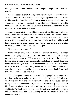thing gave him a proper shudder. Even through the rough fabric it felt hot, massive.

"Good." Jasper licked all the way along Frank's jaw and wrapped one arm around his neck. It was more intimate than anything they'd ever done. Frank couldn't care less about the metallic taste of blood lingering in their kisses. He wanted it all, right now. Impatient, he forced Jasper's thighs apart with his knee and lowered his now free hand all the way to his arse. It felt every bit as tight and firm as he believed it would.

Jasper groaned into the skin of his cheek and mirrored the move. Initially, Frank arched into his body with a low groan, but felt himself stiffen when Jasper pressed his fingers into the crack of his arse, as if he wanted to push them in if fabric wasn't in the way. Soft, warm lips brushed against his ear and Frank couldn't hold back a moan when Jasper's molten-lava of a tongue explored the shell, followed by a hoarse whisper.

"I've never been so randy."

Frank blinked, unsure if he should be happy about this with a finger between his tightly clenched cheeks. The trousers didn't feel like enough protection at the moment. "I'll be the one doin' the fuckin'," he muttered, forcing Jasper's thighs even wider apart. He needed this and already knew this would be something entirely new, even though he walked the back alley many times before. His blood was boiling at the sheer thought of breaching Jasper's arse, sliding into that virginal hole and clinging to his arched back. Jasper had to be new to this. He was sure of it.

"Oh." The squeeze on Frank's butt eased, but Jasper pulled his thighs back together, closing them on Frank's knee and looked into his eyes. It felt like he was being shut down and Frank didn't like it one bit. "Because I sort of thought I would… you know." Jasper scratched his face, only to spread more blood over his cheek. Frank looked at him, hypnotized. If it weren't that stinking toff's blood, but something more pleasant, he'd gladly clean the stain off his friend's skin. The wild pounding in his ears made it difficult to understand words.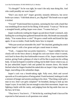"Ya *thought*?" So he was right, he wasn't the only man doing this. And who could possibly not want Jasper?

"Don't you mock me!" Jasper growled, instantly defensive, but never broke eye contact. "I did think about it, yes. Big deal!" His breath was so rapid it tickled.

"I'm not!" Frank kissed him in protest, caressing his face with a hand that was trembling all too much for his liking. It felt unreal. "I want ya." He let out a strangled breath, pulling Jasper even closer. "I wanna fuck ya."

Jasper swallowed, trailing his fingers up and down Frank's stomach, only fuelling the scorching heat gathered beneath the skin. His breath was unusually shaky. "You wanna throw a coin?" He gave a small smile and kissed his lips again. It was so tender, Frank hardly knew how to respond.

"Who just saved yer miserable life, huh?" He chuckled, grinding his crotch against Jasper's with a low groan and got a nasal moan in return.

"Yeah… I suppose that was pretty impressive…" Jasper nodded, but was clearly still on the fence about it, though his cock sure knew what it wanted, rock hard in those dirty-but-fashionable trousers of his. Jasper mimicked the motion, giving Frank a glimpse of what it will be like to push into his willing body. At least he hoped it would be willing, but he didn't know what to say, so he just unbuckled Jasper's belt and pushed his trousers down. His breath hitched when his fingers brushed the naked skin on Jasper's hips, letting them linger, marvelling at the unfamiliar shape.

Jasper's cock was a breath-taking sight. Fully erect, thick and curved upwards as if in anticipation of being petted. Frank hesitated, looking at it with a mixture of hunger and anxiety pooling in his chest. "That thing could split a man in two. Don't yer girls complain?" he breathed, daring to look up into Jasper's eyes. It was dark, but not enough to miss their movement. Jasper was fighting a battle with his vanity, and judging from the big smile that rose on his face, he'd lost.

"They love it. You love it…?" He bit his lip, watching Frank's face as if he expected to find answers to all questions ever asked.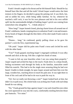Frank's breath caught in his throat and he felt himself flush. Should he lay himself bare like that and tell the truth? Afraid Jasper would notice the faint tremors in his fingers, he decided to grasp the pulsing rod. It was thick, hot, and so unlike his own, while being oddly familiar. So far, whenever he touched a stiff cock, it was for his own pleasure and led to his own selfish spill, but the unmistakable delight of holding Jasper's prick was coming from somewhere else altogether. "I… I think about it."

"How long?" Jasper leaned closed, placing chaste kisses all around one of Frank's sideburns, hands creeping down to unbutton Frank's vest and trousers. Every brush of fingers through the thin fabric of his shirt made Frank weak in the knees.

"Dunno… long," he confessed, gently pulling closer as he gave his partner's cock the first, experimental tug.

"Oh yeah." Jasper slid his palm onto Frank's torso and circled his neck with the other hand.

"You?" Frank gasped, touching Jasper's engorged cockhead. It was silky smooth and slick at the top. Felt like a right hot chunk of meat.

"I want to lick up your knuckles when I see you using them properly," Jasper rasped and arched his hips to the touch. Frank drew in a sharp breath, feeling excitement rush through his body as the familiar, masculine smell filled his nostrils. This had to be the single most arousing thing he had ever heard. Unable to think straight, he spun Jasper around and bent him over the large, wooden box, reaching down to touch his pale arse. It was right there in front of his cock and all he had to do was to push his way in.

"Oy! Are we really not throwing a coin?" Jasper looked back at him, but didn't try to pull away. His whole body was arching into Frank with each deep breath he was taking.

"No." Frank ground his hips against Jasper's rear and closed his eyes when his cock squeezed its way into the crack, comfortably nestling between those pert buttocks. "Yer mine."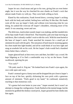Jasper let out a loud moan and got to his toes, giving him an even better angle, but it was the way he clenched his arse cheeks on Frank's cock that almost made Frank cry with joy. They were both willing as fuck.

Elated by this realization, Frank bowed down, covering Jasper's arching back with his body and smiled, feeling how well they fit like that. His hands went all the way up Jasper's body and without even knowing what he was doing, he yanked the overcoat off Jasper's shoulders, releasing more of his smell. It was amazing; sweet and raw.

The delicious, inarticulate sounds Jasper was making, and the rounded stirs of his hips made Frank's blood boil. That beautiful, pale arse kept moving up and down, like it already couldn't wait to ride his cock. With his nose buried at the base of Jasper's neck, Frank searched his trousers for a small pot of ointment he used with the girls. The sensation of hard muscle straining against his chest made him light headed, and all he could think of was how tight and snug an arsehole felt on his cock. He bet Jasper's hole would feel a hundred times better than a whore's.

Jasper glanced back at him every now and then, but didn't say a word. He kept fidgeting as if to find a comfortable way to lay on the boxes. Frank swallowed, opening his pot.

"Yer cock?"

"Oh yeah, touch it. Frig me." He looked back into Frank's eyes again, his own wide open and wary.

Frank's stomach gave a funny turn and he dropped the pot close to Jasper's face on top of the box, quickly slickening his own prick with a generous amount of ointment. "Feels good in my hand," he confessed, tentatively reaching to that monstrous cock.

"It's gonna feel even better in your arse." Jasper snorted, but it wasn't an attempt to change the configuration. Frank flushed at the mental image, but the moment he grabbed the donkey-sized prick, Jasper ground his butt cheeks into him again.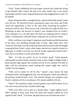"Fuck." Frank cuddled his face into Jasper's prized vest, frantically trying to get himself under control. He had to be calm, steady, but it was nearly impossible with that warm, fragrant body practically begging him to enter. So he pushed.

Jasper whimpered like a strangled kitten, and his whole body tensed, curled over the box. He bowed his head, exposing his nape even more and Frank seized the opportunity to bite on the salty flesh, breaching his partner's resistance inch by inch. There was no way to describe how tight his hole was. Bordering on pain, the muscles of Jasper's arse clamped down on Frank's cock, keeping it in a vice-like grip. His head was spinning and he clung to Jasper's arching back with both hands, desperate not to lose his senses.

All he could hear were Jasper's desperate nasal breaths and the furious beat of his heart, now thudding through both of them, right where they were connected. His body was shivering with faint tremors and all coherent thought evaporated from Frank's mind, when Jasper reached out to grab his hand in a tight grip. It couldn't rival the way his hot insides squeezed around Frank's cock, but it was about so much more than relish.

"Shit… it's like yer suckin' me in. So fuckin' good," Frank grunted, enjoying the way their bodies spooned: chest to back, thighs to thighs, Frank's groin pressed tight against the sweetest arse he'd ever enjoyed. He held on tight, with his treacherous mind warning him Jasper might flee, and he couldn't let that happen.

"Well, you're suckin *me* off for this." Jasper's voice shook. He kept arching his back and dragging his feet over the ground, which only added to the pressure around Frank's cock. The strained whisper was enough to jerk Frank's attention off his own pleasure. His mouth suddenly felt dry.

"Hurts?" He reached to Jasper's head to gently cup it with his hand. It was wet with sweat and hot like a freshly boiled egg.

"Well, your dick's not as thin as a thumb either." Jasper sighed, but he didn't attempt to back away from the touch and instead, rubbed his face against Frank's hand. "You know, the girls always say first time has to hurt…"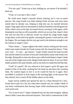"Yer not a girl." Frank was at loss, holding on, yet unsure if he shouldn't back out.

"Yeah, so I can take it like a man."

He could sense Jasper's muscles slowly relaxing, but it was no quick process. His raspy breath was both making Frank nervous and even more ruttish than he already was. Hoping to help him out, he reached between Jasper's legs again and was devastated to find his beautiful cock had gone soft. With a silent curse on his lips, he started slowly coaxing it to life again, while keeping his own hips as still as possible, which was no easy feat. Jasper's short hair and wet skin felt so delicate, Frank was afraid his rough hands might scrape them, so he tried to be gentle, caressing his partner's neck and ear with his fingers. He was happy that his eyes got used to the darkness enough to see the tension in Jasper's neck.

"That's better…" Jasper sighed with relief, slowly rocking into the touch, which only made it harder for Frank to keep still. He cleared his throat. "I like your cock… it's just… got intense." Jasper finally turned his head towards him and the seductive mixture of lust and vulnerability nearly took Frank over the edge. Being able to stare into those eyes while buried deep in Jasper's body was one of the single most erotic things Frank had ever done. It was as if their bodies pulsed in the same rhythm, and no one had ever made him feel like that.

"Yeah? It's good?" He was relieved to feel Jasper's prick fill again and smiled at him in the dark, stroking his free hand up and down the sweating body. He wanted Jasper to love it so he would let him do it again. How incredible it would be to fuck Jasper in the morning light, in the narrow bed they shared, free to touch all the hidden places on his body.

Jasper slowly nodded and opened his lips in a silent demand for a kiss. Frank had to pull out a bit, but when their mouths met, he couldn't think of any better combination than kissing Jasper while simultaneously having his cock up his arse.

"Try to move now?" Jasper whispered into his lips and strangely, talking about it didn't seem that awkward anymore. They had to communicate if this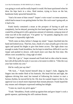was going to work and he really hoped it would. His heart quickened when he drew his hips back in a slow, fluid motion, trying to focus on the hot, handsome body sprawled beneath his.

"And a bit more of that cream?" Jasper's voice wasn't so tense anymore, which had to mean it was getting better for him. His cock wasn't going soft, so it had to be.

Frank barely contained a moan at the prospect of having to pull out completely, but he obeyed, pressing his free hand against Jasper's back as he coated his aching prick with a generous amount of ointment, using up most of what was left in the small pot. "I'm gettin' in," he panted, aligning his cock with Jasper's impossibly tight hole.

"Well come on then, before I change my mind." Jasper chuckled into his hand and looked away. That hot, lean, chunk of a man actually got to his toes again and spread his thighs to give him better access. The sight alone was enough to make Frank breathless, but he kept in mind how difficult it was for Jasper and pushed in slower, with much more care than the first time. His efforts were awarded by a long sigh of relief.

"Oh! Oh, I get it," Jasper moaned and Frank had no idea what he meant, but with all that jelly he used, it was now a lot easier to slide in. "I like the way your hair tickles my arse."

#### *Did he really just say that?*

"Oh fuck…" Frank buried himself deep in Jasper's hole, digging his fingers into the tender flesh of his buttocks. His head felt hot and light, the tightness driving him mad, but instead of following his instinct to start a furious rhythm, he moved bit by bit. Oh, how he wanted Jasper to like it, his approval was so much more important than instant pleasure. Frank hoped the tiny moans and whimpers expressed nothing but delight.

"Come on, touch my prick again."

"Yeah." Breathless, Frank curled up against him and gave Jasper's cock a gentle squeeze, quickening his still cautious thrusts.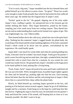"You're such a big man," Jasper mumbled into the box beneath them and pulled himself up to his elbows to press closer. "So good." Those two words were enough to make Frank prouder than when he had stolen his first wallet all those years ago. He smiled into the fragrant heat of Jasper's neck.

"Fuckin' good to die for." He gasped, slipping one of his arms under Jasper's face, cradling it gently. An unexpected kiss to his forearm got his insides melting like butter. They forgot themselves, joined by the frantic coupling, just a few yards away from two cooling corpses. They shared new secrets and an understanding that could not be formed over a glass of gin. This was frighteningly raw, real. Otherworldly.

Their heated bodies drove the cold away, joined into one in the quiet back alley. Nothing but this mattered. Jasper's ragged breath, his pliant body, the scratching of his beard and the mind-numbing tightness of his hole consumed Frank's whole world as he drove into his partner, overwhelmed by the experience. He could hardly speak.

Jasper didn't care much for words either and when he started grinding into Frank, it became clear he wouldn't last much longer. Frank gave his partner's prick a more forceful tug and seconds later, that tight, wonderful hole clenched around him with so much force that for a moment, he was certain his cock would stay inside forever. He groaned into Jasper's shoulder as the huge prick in his hand spilled its load, pulsing like a living being.

"Fuck, Frank. Fuck!" Jasper shivered in his arms and Frank could feel it all the way up to his balls. With a strangled moan, he pulled Jasper tighter against his chest and let himself go, pushing right into that hot arse. Each ensuing thrust felt better than the one before and the welcoming heat of Jasper's flesh drove him to a powerful blow deep within the pliant body.

Slowly, he lifted himself up, watching Jasper sprawled on the box, still panting as if he had just outran several coppers. Jasper let go of all inhibitions tonight and for a moment, Frank hung on to the hope he could keep him like this forever. Fighting the urge to close his eyes, he stretched over his partner's body and kissed the corner of his mouth, still keeping him as close as it was humanly possible. He didn't want to let go.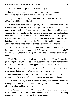"So… different," Jasper muttered with a lazy grin.

Frank nodded and crooked his head to capture Jasper's mouth in another kiss. The cold air didn't make him feel any less overheated.

"Night of my life," Jasper whispered as he looked back at Frank, effectively robbing him of breath.

"Y-yeah?" His throat tightened, pulsing with the rhythm of his heart as he slowly withdrew from the comfort of Jasper's arse. Frank swallowed, pulling out completely and petted his partner's arm, unsure what else would be proper conduct. If he ever liked a girl this much, he'd kiss her senseless and then take her to his bed. Only he and Jasper already shared one. Would the arrangement change now? Would the invisible line between them disappear now that they both knew how their bodies fit together? He hoped it would. The possibility of Jasper deciding to forget about this made Frank's whole body ache.

"Mhm. Though my arse's going to be fucking sore." Jasper laughed, but Frank could see that his face darkened. "We have to sort that mess out, right?" He slowly straightened up and pointed into the alley where they left the bodies.

"Yeah." Frank took a step back, groaning at the sight of Jasper's buttocks, juicy and pale. He wanted to pet them, but didn't dare. Instead, he tucked his cock back into his breeches, still slippery from the fucking. "We do."

Jasper bent over to pick up his trousers and Frank couldn't help but wonder if he'd done that on purpose. "Those shoes are fucking *mine*."

Frank chuckled, still too overwhelmed by what they just did to think about anything else. Stevens wasn't the only man with good shoes in London.

They both quickly got their clothing in order, even though Jasper was having some problems with the buttons. His injured hand was swelling, but he didn't complain and just got on with it.

"We'll get some ice for this." Frank reached over and helped him with the top trouser button. He could swear he'd never smelled anything more arousing than the mixture of their combined sweat and spunk.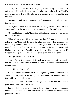"Yeah, it's fine." Jasper stirred in place, before giving Frank one more quick kiss. He walked back into the alleyway, followed by Frank's mesmerized stare. The sudden change of dynamics in their friendship was incredible.

"We need to find our 'ats." Frank spotted his dagger and quickly bent over to pick it up.

"Yeah, mine's here. And this sword? It's fucking brilliant!" He could hear Jasper swish it in the air, acting as if nothing was out of the ordinary.

"Ya need to learn to stab." Frank kicked the loony's body. He was just as dead as it seemed.

"I know how to stab. He came out of nowhere," Jasper complained and poked Stevens' head with the tip of the sabre. God knew when he became so bloodthirsty. Frank smiled at him with a soft sigh. He needed some hearty latenight dinner, but his thoughts inevitably gravitated to the bed they shared and his heart skipped a beat. Would they just lie down like nothing happened? What would Jasper do if Frank reached out to touch him in the dark?

"Just get on with it and let's go."

"Wait." Jasper fished out a pocket watch out of Stevens' vest. He already had the boots on. Frank didn't even notice when he swapped his old shoes for the new ones.

"Don't forget 'is money."

It took a few more minutes of scavenging through the toff's clothes and Jasper stood up proud. He put his top hat on and walked up to Frank, swaying to the sides with a cocky grin.

"Here you go, luv." Jasper dropped the golden pocket watch into Frank's palm and snorted. "For your effort."

Frank rolled his eyes, unwilling to let emotion show as his stomach clenched. "Now that's a curious nickname." He put the watch into the inner pocket of his coat.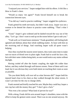"I enjoyed your services." Jasper nudged him with his elbow. It felt like a blow to Frank's chest.

"Would ya enjoy 'em again?" Frank forced himself not to break the connection between eyes.

"You did say I need to practice stabbing." Jasper wiggled his eyebrows.

Frank gritted his teeth nervously, but didn't look away. Jasper was not a woman to be denied the chance to practice some stabbing. "That's what I said"

"Good." Jasper's grin widened and he dashed toward the way out of the alley. "Let's go. I don't want to end up on the noose before I get to stab you."

"Yeah well, we'd need more ointment," Frank grumbled, still feeling both agitated and dubious about that whole stabbing matter. At least with him on the receiving end of things. And watching Jasper walk all queer wasn't helping.

Once they reached the nearest street lantern, they took some time to make sure no traces of blood were in plain sight. Frank had to scrub his face a bit, but with their outer clothes being dark, no one would notice any stains without daylight.

Having cooled off after the frantic coupling, the night felt colder than before, and they rushed through well-known streets. None of them said it out loud, but it was obvious they were both intent on reaching their room as soon as possible.

"Do you think Molly will ever tell us what Stevens did?" Jasper held his injured hand close to his chest as they walked through the silent streets. It wasn't yet time for the city to change shifts.

Frank snorted and briefly touched his arm. Maybe they could buy Jasper a new top hat with the money they got? "I don't give a fuck."

"Not even a bit curious? What kind of pervert he was?"

With a shrug, Frank slid his arm around Jasper's shoulders, tense with the effort to keep the gesture seem casual. There was no one around anyway. He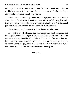didn't yet know what to do with the new freedom to touch Jasper, but he couldn't deny himself. "I'm curious about too much now." The fact that Jasper didn't pull away, made him all tingly inside.

"Like what?" A smile lingered on Jasper's lips, but it dissolved when a siren pierced the air with its deafening cry. Frank pulled away, his body tensing up, ready to fend off anyone who dared to attack them. Were the sound just a bit more high pitched, it would probably break windows.

"Fuck, the coppers," was the first thing that came to his mind.

They looked at each other and didn't have to say one word, before dashing into a sprint, determined to get as far away as they possibly could from the crime scene. Everything blurred in the haze of vapour and fog, but as they ran, Frank stole a glance at Jasper when they were passing one of the rare streetlights. Surprisingly, Jasper did the same and when their eyes met, a grin was shared as well before darkness swallowed them again.

#### **THE END**